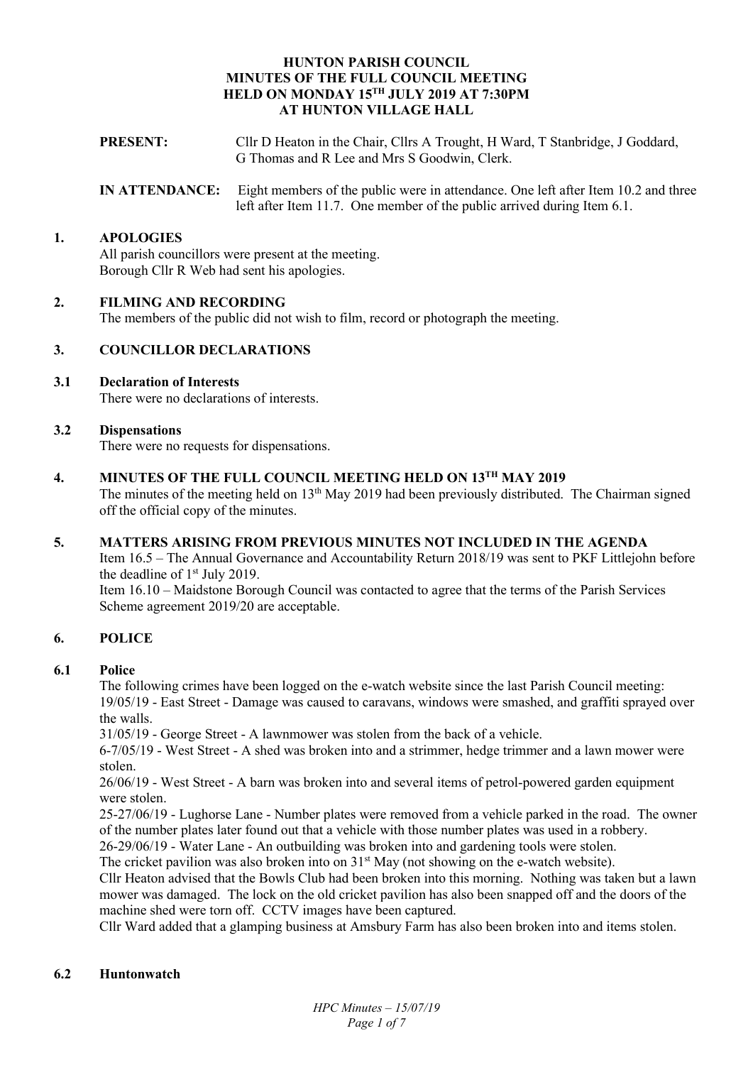## **HUNTON PARISH COUNCIL MINUTES OF THE FULL COUNCIL MEETING HELD ON MONDAY 15TH JULY 2019 AT 7:30PM AT HUNTON VILLAGE HALL**

- **PRESENT:** Cllr D Heaton in the Chair, Cllrs A Trought, H Ward, T Stanbridge, J Goddard, G Thomas and R Lee and Mrs S Goodwin, Clerk.
- **IN ATTENDANCE:** Eight members of the public were in attendance. One left after Item 10.2 and three left after Item 11.7. One member of the public arrived during Item 6.1.

## **1. APOLOGIES**

All parish councillors were present at the meeting. Borough Cllr R Web had sent his apologies.

## **2. FILMING AND RECORDING**

The members of the public did not wish to film, record or photograph the meeting.

## **3. COUNCILLOR DECLARATIONS**

## **3.1 Declaration of Interests**

There were no declarations of interests.

### **3.2 Dispensations**

There were no requests for dispensations.

## **4. MINUTES OF THE FULL COUNCIL MEETING HELD ON 13TH MAY 2019**

The minutes of the meeting held on 13<sup>th</sup> May 2019 had been previously distributed. The Chairman signed off the official copy of the minutes.

### **5. MATTERS ARISING FROM PREVIOUS MINUTES NOT INCLUDED IN THE AGENDA**

Item 16.5 – The Annual Governance and Accountability Return 2018/19 was sent to PKF Littlejohn before the deadline of 1<sup>st</sup> July 2019.

Item 16.10 – Maidstone Borough Council was contacted to agree that the terms of the Parish Services Scheme agreement 2019/20 are acceptable.

# **6. POLICE**

### **6.1 Police**

The following crimes have been logged on the e-watch website since the last Parish Council meeting: 19/05/19 - East Street - Damage was caused to caravans, windows were smashed, and graffiti sprayed over the walls.

31/05/19 - George Street - A lawnmower was stolen from the back of a vehicle.

6-7/05/19 - West Street - A shed was broken into and a strimmer, hedge trimmer and a lawn mower were stolen.

26/06/19 - West Street - A barn was broken into and several items of petrol-powered garden equipment were stolen.

25-27/06/19 - Lughorse Lane - Number plates were removed from a vehicle parked in the road. The owner of the number plates later found out that a vehicle with those number plates was used in a robbery.

26-29/06/19 - Water Lane - An outbuilding was broken into and gardening tools were stolen.

The cricket pavilion was also broken into on  $31<sup>st</sup>$  May (not showing on the e-watch website).

Cllr Heaton advised that the Bowls Club had been broken into this morning. Nothing was taken but a lawn mower was damaged. The lock on the old cricket pavilion has also been snapped off and the doors of the machine shed were torn off. CCTV images have been captured.

Cllr Ward added that a glamping business at Amsbury Farm has also been broken into and items stolen.

### **6.2 Huntonwatch**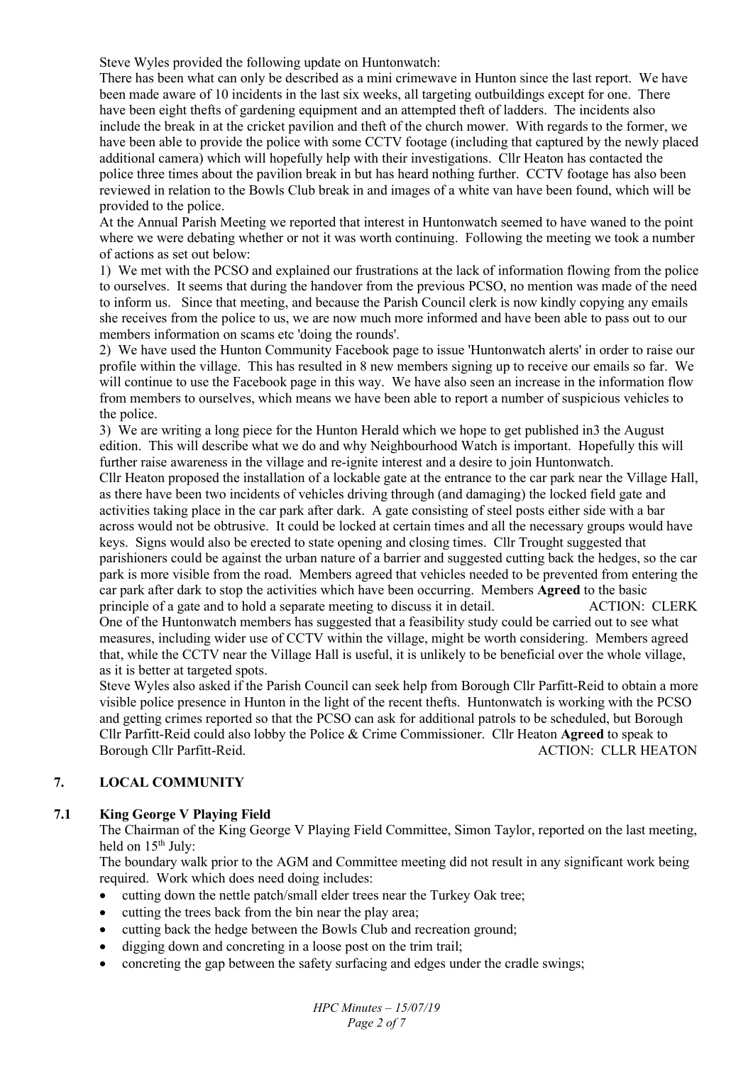Steve Wyles provided the following update on Huntonwatch:

There has been what can only be described as a mini crimewave in Hunton since the last report. We have been made aware of 10 incidents in the last six weeks, all targeting outbuildings except for one. There have been eight thefts of gardening equipment and an attempted theft of ladders. The incidents also include the break in at the cricket pavilion and theft of the church mower. With regards to the former, we have been able to provide the police with some CCTV footage (including that captured by the newly placed additional camera) which will hopefully help with their investigations. Cllr Heaton has contacted the police three times about the pavilion break in but has heard nothing further. CCTV footage has also been reviewed in relation to the Bowls Club break in and images of a white van have been found, which will be provided to the police.

At the Annual Parish Meeting we reported that interest in Huntonwatch seemed to have waned to the point where we were debating whether or not it was worth continuing. Following the meeting we took a number of actions as set out below:

1) We met with the PCSO and explained our frustrations at the lack of information flowing from the police to ourselves. It seems that during the handover from the previous PCSO, no mention was made of the need to inform us. Since that meeting, and because the Parish Council clerk is now kindly copying any emails she receives from the police to us, we are now much more informed and have been able to pass out to our members information on scams etc 'doing the rounds'.

2) We have used the Hunton Community Facebook page to issue 'Huntonwatch alerts' in order to raise our profile within the village. This has resulted in 8 new members signing up to receive our emails so far. We will continue to use the Facebook page in this way. We have also seen an increase in the information flow from members to ourselves, which means we have been able to report a number of suspicious vehicles to the police.

3) We are writing a long piece for the Hunton Herald which we hope to get published in3 the August edition. This will describe what we do and why Neighbourhood Watch is important. Hopefully this will further raise awareness in the village and re-ignite interest and a desire to join Huntonwatch. Cllr Heaton proposed the installation of a lockable gate at the entrance to the car park near the Village Hall,

as there have been two incidents of vehicles driving through (and damaging) the locked field gate and activities taking place in the car park after dark. A gate consisting of steel posts either side with a bar across would not be obtrusive. It could be locked at certain times and all the necessary groups would have keys. Signs would also be erected to state opening and closing times. Cllr Trought suggested that parishioners could be against the urban nature of a barrier and suggested cutting back the hedges, so the car park is more visible from the road. Members agreed that vehicles needed to be prevented from entering the car park after dark to stop the activities which have been occurring. Members **Agreed** to the basic principle of a gate and to hold a separate meeting to discuss it in detail. ACTION: CLERK One of the Huntonwatch members has suggested that a feasibility study could be carried out to see what measures, including wider use of CCTV within the village, might be worth considering. Members agreed that, while the CCTV near the Village Hall is useful, it is unlikely to be beneficial over the whole village, as it is better at targeted spots.

Steve Wyles also asked if the Parish Council can seek help from Borough Cllr Parfitt-Reid to obtain a more visible police presence in Hunton in the light of the recent thefts. Huntonwatch is working with the PCSO and getting crimes reported so that the PCSO can ask for additional patrols to be scheduled, but Borough Cllr Parfitt-Reid could also lobby the Police & Crime Commissioner. Cllr Heaton **Agreed** to speak to Borough Cllr Parfitt-Reid. ACTION: CLLR HEATON:

# **7. LOCAL COMMUNITY**

# **7.1 King George V Playing Field**

The Chairman of the King George V Playing Field Committee, Simon Taylor, reported on the last meeting, held on  $15<sup>th</sup>$  July:

The boundary walk prior to the AGM and Committee meeting did not result in any significant work being required. Work which does need doing includes:

- cutting down the nettle patch/small elder trees near the Turkey Oak tree;
- cutting the trees back from the bin near the play area;
- cutting back the hedge between the Bowls Club and recreation ground;
- digging down and concreting in a loose post on the trim trail;
- concreting the gap between the safety surfacing and edges under the cradle swings;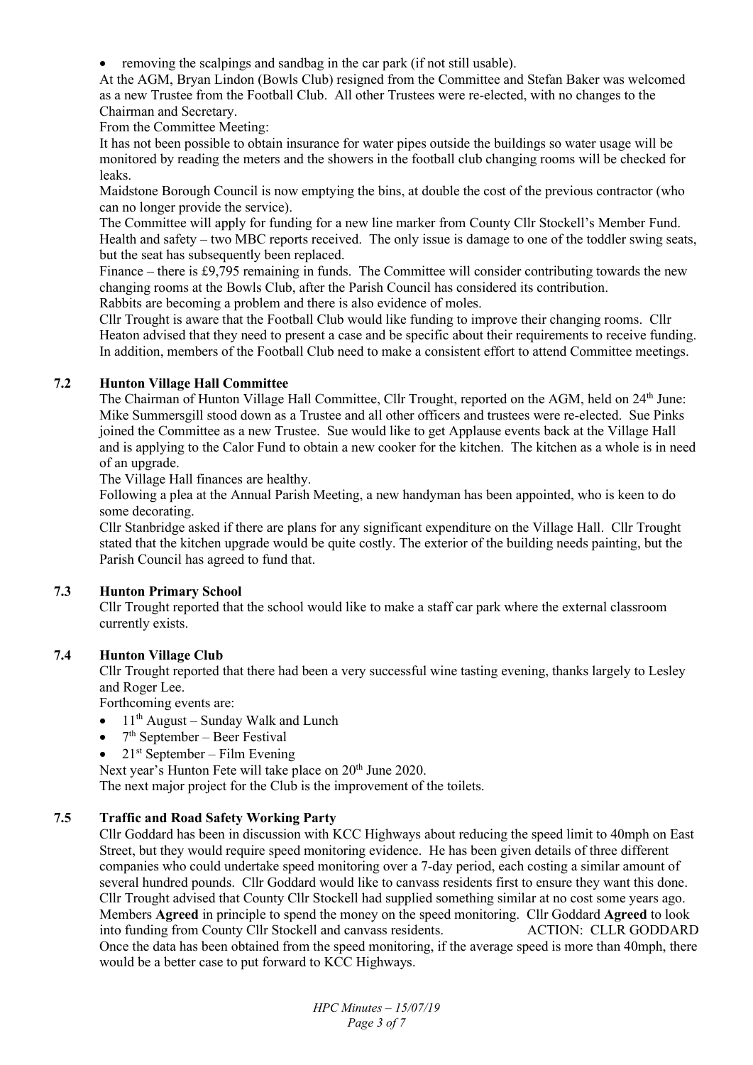removing the scalpings and sandbag in the car park (if not still usable).

At the AGM, Bryan Lindon (Bowls Club) resigned from the Committee and Stefan Baker was welcomed as a new Trustee from the Football Club. All other Trustees were re-elected, with no changes to the Chairman and Secretary.

From the Committee Meeting:

It has not been possible to obtain insurance for water pipes outside the buildings so water usage will be monitored by reading the meters and the showers in the football club changing rooms will be checked for leaks.

Maidstone Borough Council is now emptying the bins, at double the cost of the previous contractor (who can no longer provide the service).

The Committee will apply for funding for a new line marker from County Cllr Stockell's Member Fund. Health and safety – two MBC reports received. The only issue is damage to one of the toddler swing seats, but the seat has subsequently been replaced.

Finance – there is £9,795 remaining in funds. The Committee will consider contributing towards the new changing rooms at the Bowls Club, after the Parish Council has considered its contribution. Rabbits are becoming a problem and there is also evidence of moles.

Cllr Trought is aware that the Football Club would like funding to improve their changing rooms. Cllr Heaton advised that they need to present a case and be specific about their requirements to receive funding. In addition, members of the Football Club need to make a consistent effort to attend Committee meetings.

# **7.2 Hunton Village Hall Committee**

The Chairman of Hunton Village Hall Committee, Cllr Trought, reported on the AGM, held on 24<sup>th</sup> June: Mike Summersgill stood down as a Trustee and all other officers and trustees were re-elected. Sue Pinks joined the Committee as a new Trustee. Sue would like to get Applause events back at the Village Hall and is applying to the Calor Fund to obtain a new cooker for the kitchen. The kitchen as a whole is in need of an upgrade.

The Village Hall finances are healthy.

Following a plea at the Annual Parish Meeting, a new handyman has been appointed, who is keen to do some decorating.

Cllr Stanbridge asked if there are plans for any significant expenditure on the Village Hall. Cllr Trought stated that the kitchen upgrade would be quite costly. The exterior of the building needs painting, but the Parish Council has agreed to fund that.

# **7.3 Hunton Primary School**

Cllr Trought reported that the school would like to make a staff car park where the external classroom currently exists.

# **7.4 Hunton Village Club**

Cllr Trought reported that there had been a very successful wine tasting evening, thanks largely to Lesley and Roger Lee.

Forthcoming events are:

- $\bullet$  11<sup>th</sup> August Sunday Walk and Lunch
- $\bullet$  7<sup>th</sup> September Beer Festival
- $21<sup>st</sup> September Film Evening$

Next year's Hunton Fete will take place on 20<sup>th</sup> June 2020.

The next major project for the Club is the improvement of the toilets.

# **7.5 Traffic and Road Safety Working Party**

Cllr Goddard has been in discussion with KCC Highways about reducing the speed limit to 40mph on East Street, but they would require speed monitoring evidence. He has been given details of three different companies who could undertake speed monitoring over a 7-day period, each costing a similar amount of several hundred pounds. Cllr Goddard would like to canvass residents first to ensure they want this done. Cllr Trought advised that County Cllr Stockell had supplied something similar at no cost some years ago. Members **Agreed** in principle to spend the money on the speed monitoring. Cllr Goddard **Agreed** to look into funding from County Cllr Stockell and canvass residents. ACTION: CLLR GODDARD Once the data has been obtained from the speed monitoring, if the average speed is more than 40mph, there would be a better case to put forward to KCC Highways.

> *HPC Minutes – 15/07/19 Page 3 of 7*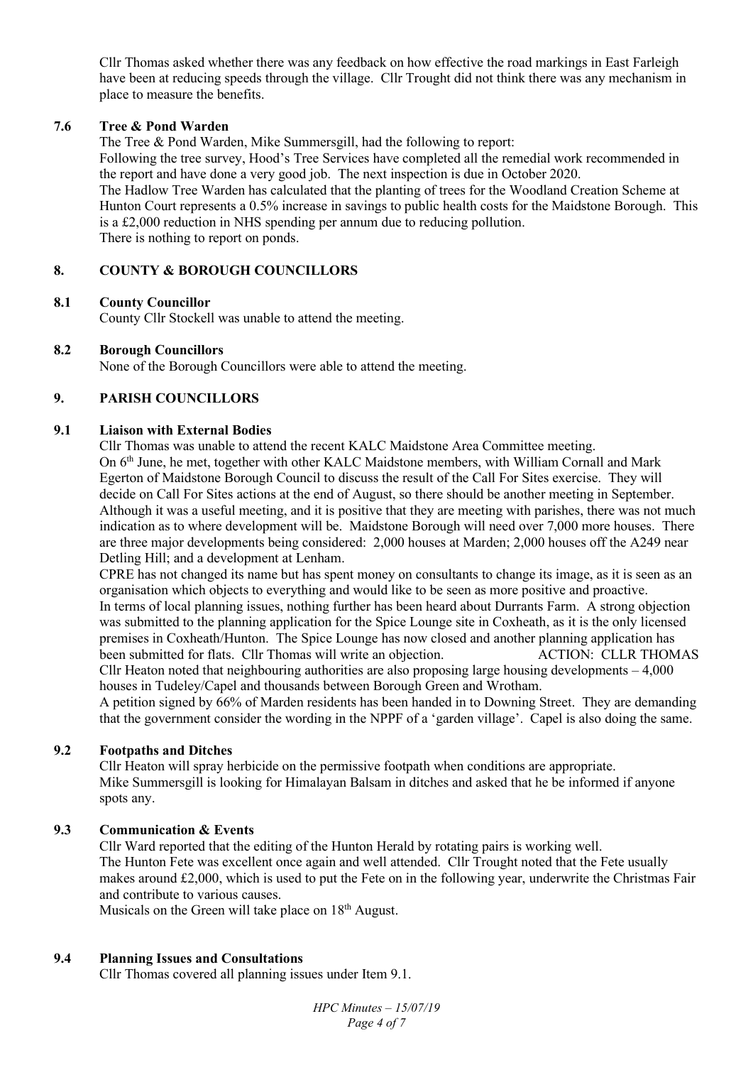Cllr Thomas asked whether there was any feedback on how effective the road markings in East Farleigh have been at reducing speeds through the village. Cllr Trought did not think there was any mechanism in place to measure the benefits.

## **7.6 Tree & Pond Warden**

The Tree & Pond Warden, Mike Summersgill, had the following to report:

Following the tree survey, Hood's Tree Services have completed all the remedial work recommended in the report and have done a very good job. The next inspection is due in October 2020.

The Hadlow Tree Warden has calculated that the planting of trees for the Woodland Creation Scheme at Hunton Court represents a 0.5% increase in savings to public health costs for the Maidstone Borough. This is a £2,000 reduction in NHS spending per annum due to reducing pollution. There is nothing to report on ponds.

## **8. COUNTY & BOROUGH COUNCILLORS**

## **8.1 County Councillor**

County Cllr Stockell was unable to attend the meeting.

## **8.2 Borough Councillors**

None of the Borough Councillors were able to attend the meeting.

# **9. PARISH COUNCILLORS**

## **9.1 Liaison with External Bodies**

Cllr Thomas was unable to attend the recent KALC Maidstone Area Committee meeting. On 6th June, he met, together with other KALC Maidstone members, with William Cornall and Mark Egerton of Maidstone Borough Council to discuss the result of the Call For Sites exercise. They will decide on Call For Sites actions at the end of August, so there should be another meeting in September. Although it was a useful meeting, and it is positive that they are meeting with parishes, there was not much indication as to where development will be. Maidstone Borough will need over 7,000 more houses. There are three major developments being considered: 2,000 houses at Marden; 2,000 houses off the A249 near Detling Hill; and a development at Lenham.

CPRE has not changed its name but has spent money on consultants to change its image, as it is seen as an organisation which objects to everything and would like to be seen as more positive and proactive. In terms of local planning issues, nothing further has been heard about Durrants Farm. A strong objection was submitted to the planning application for the Spice Lounge site in Coxheath, as it is the only licensed premises in Coxheath/Hunton. The Spice Lounge has now closed and another planning application has been submitted for flats. Cllr Thomas will write an objection. ACTION: CLLR THOMAS Cllr Heaton noted that neighbouring authorities are also proposing large housing developments – 4,000 houses in Tudeley/Capel and thousands between Borough Green and Wrotham.

A petition signed by 66% of Marden residents has been handed in to Downing Street. They are demanding that the government consider the wording in the NPPF of a 'garden village'. Capel is also doing the same.

### **9.2 Footpaths and Ditches**

Cllr Heaton will spray herbicide on the permissive footpath when conditions are appropriate. Mike Summersgill is looking for Himalayan Balsam in ditches and asked that he be informed if anyone spots any.

# **9.3 Communication & Events**

Cllr Ward reported that the editing of the Hunton Herald by rotating pairs is working well. The Hunton Fete was excellent once again and well attended. Cllr Trought noted that the Fete usually makes around £2,000, which is used to put the Fete on in the following year, underwrite the Christmas Fair and contribute to various causes.

Musicals on the Green will take place on  $18<sup>th</sup>$  August.

### **9.4 Planning Issues and Consultations**

Cllr Thomas covered all planning issues under Item 9.1.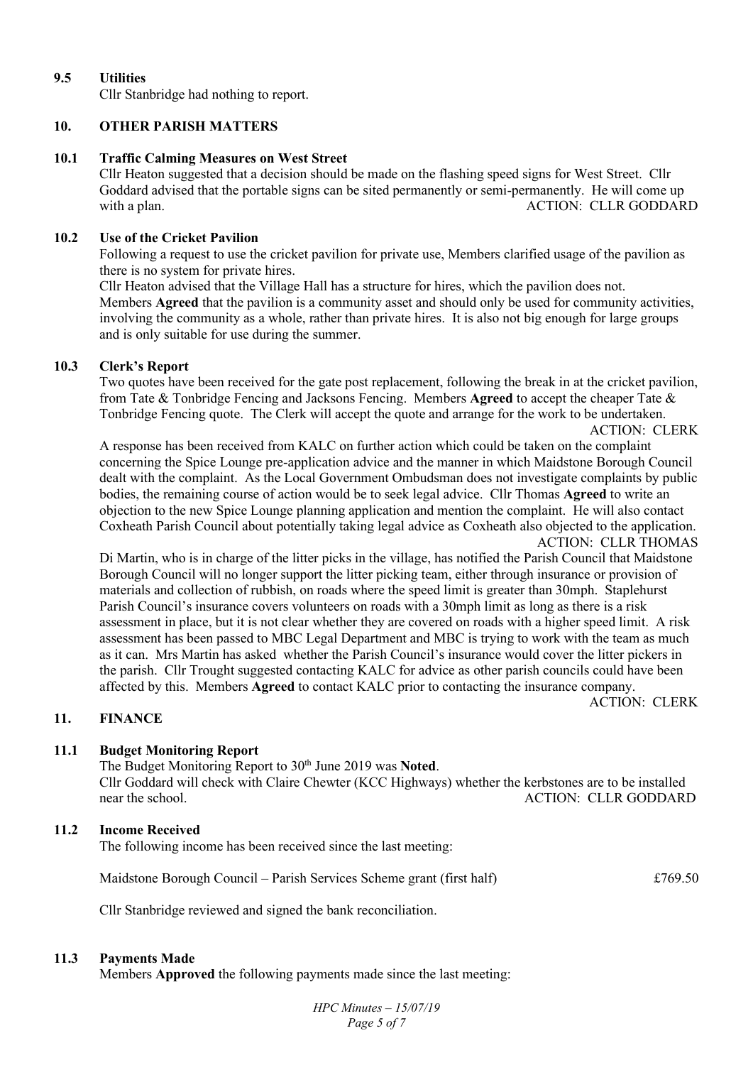# **9.5 Utilities**  Cllr Stanbridge had nothing to report.

# **10. OTHER PARISH MATTERS**

## **10.1 Traffic Calming Measures on West Street**

Cllr Heaton suggested that a decision should be made on the flashing speed signs for West Street. Cllr Goddard advised that the portable signs can be sited permanently or semi-permanently. He will come up with a plan. ACTION: CLLR GODDARD

# **10.2 Use of the Cricket Pavilion**

Following a request to use the cricket pavilion for private use, Members clarified usage of the pavilion as there is no system for private hires.

Cllr Heaton advised that the Village Hall has a structure for hires, which the pavilion does not. Members **Agreed** that the pavilion is a community asset and should only be used for community activities, involving the community as a whole, rather than private hires. It is also not big enough for large groups and is only suitable for use during the summer.

## **10.3 Clerk's Report**

Two quotes have been received for the gate post replacement, following the break in at the cricket pavilion, from Tate & Tonbridge Fencing and Jacksons Fencing. Members **Agreed** to accept the cheaper Tate & Tonbridge Fencing quote. The Clerk will accept the quote and arrange for the work to be undertaken.

 ACTION: CLERK A response has been received from KALC on further action which could be taken on the complaint concerning the Spice Lounge pre-application advice and the manner in which Maidstone Borough Council dealt with the complaint. As the Local Government Ombudsman does not investigate complaints by public bodies, the remaining course of action would be to seek legal advice. Cllr Thomas **Agreed** to write an objection to the new Spice Lounge planning application and mention the complaint. He will also contact Coxheath Parish Council about potentially taking legal advice as Coxheath also objected to the application. ACTION: CLLR THOMAS

Di Martin, who is in charge of the litter picks in the village, has notified the Parish Council that Maidstone Borough Council will no longer support the litter picking team, either through insurance or provision of materials and collection of rubbish, on roads where the speed limit is greater than 30mph. Staplehurst Parish Council's insurance covers volunteers on roads with a 30mph limit as long as there is a risk assessment in place, but it is not clear whether they are covered on roads with a higher speed limit. A risk assessment has been passed to MBC Legal Department and MBC is trying to work with the team as much as it can. Mrs Martin has asked whether the Parish Council's insurance would cover the litter pickers in the parish. Cllr Trought suggested contacting KALC for advice as other parish councils could have been affected by this. Members **Agreed** to contact KALC prior to contacting the insurance company. ACTION: CLERK

# **11. FINANCE**

# **11.1 Budget Monitoring Report**

The Budget Monitoring Report to 30<sup>th</sup> June 2019 was Noted. Cllr Goddard will check with Claire Chewter (KCC Highways) whether the kerbstones are to be installed

near the school. ACTION: CLLR GODDARD

# **11.2 Income Received**

The following income has been received since the last meeting:

Maidstone Borough Council – Parish Services Scheme grant (first half) £769.50

Cllr Stanbridge reviewed and signed the bank reconciliation.

# **11.3 Payments Made**

Members **Approved** the following payments made since the last meeting: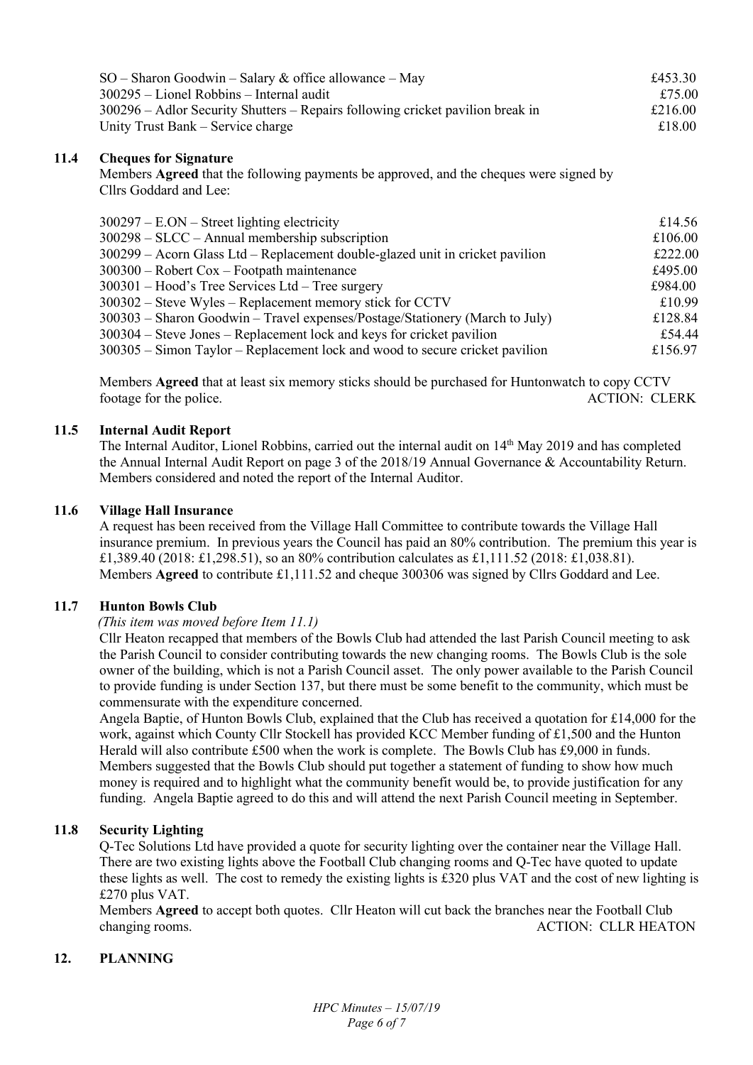| $SO -$ Sharon Goodwin – Salary & office allowance – May                        | £453.30 |
|--------------------------------------------------------------------------------|---------|
| $300295$ – Lionel Robbins – Internal audit                                     | £75.00  |
| 300296 – Adlor Security Shutters – Repairs following cricket pavilion break in | £216.00 |
| Unity Trust Bank – Service charge                                              | £18.00  |

## **11.4 Cheques for Signature**

Members **Agreed** that the following payments be approved, and the cheques were signed by Cllrs Goddard and Lee:

| $300297 - E. ON - Street lighting electricity$                                | £14.56  |
|-------------------------------------------------------------------------------|---------|
| $300298 - SLCC - Annual membership$ subscription                              | £106.00 |
| 300299 – Acorn Glass Ltd – Replacement double-glazed unit in cricket pavilion | £222.00 |
| $300300$ – Robert Cox – Footpath maintenance                                  | £495.00 |
| $300301$ – Hood's Tree Services Ltd – Tree surgery                            | £984.00 |
| 300302 – Steve Wyles – Replacement memory stick for CCTV                      | £10.99  |
| 300303 - Sharon Goodwin - Travel expenses/Postage/Stationery (March to July)  | £128.84 |
| $300304$ – Steve Jones – Replacement lock and keys for cricket pavilion       | £54.44  |
| 300305 – Simon Taylor – Replacement lock and wood to secure cricket pavilion  | £156.97 |

Members **Agreed** that at least six memory sticks should be purchased for Huntonwatch to copy CCTV footage for the police. ACTION: CLERK

### **11.5 Internal Audit Report**

The Internal Auditor, Lionel Robbins, carried out the internal audit on 14<sup>th</sup> May 2019 and has completed the Annual Internal Audit Report on page 3 of the 2018/19 Annual Governance & Accountability Return. Members considered and noted the report of the Internal Auditor.

#### **11.6 Village Hall Insurance**

A request has been received from the Village Hall Committee to contribute towards the Village Hall insurance premium. In previous years the Council has paid an 80% contribution. The premium this year is £1,389.40 (2018: £1,298.51), so an 80% contribution calculates as £1,111.52 (2018: £1,038.81). Members **Agreed** to contribute £1,111.52 and cheque 300306 was signed by Cllrs Goddard and Lee.

#### **11.7 Hunton Bowls Club**

#### *(This item was moved before Item 11.1)*

Cllr Heaton recapped that members of the Bowls Club had attended the last Parish Council meeting to ask the Parish Council to consider contributing towards the new changing rooms. The Bowls Club is the sole owner of the building, which is not a Parish Council asset. The only power available to the Parish Council to provide funding is under Section 137, but there must be some benefit to the community, which must be commensurate with the expenditure concerned.

Angela Baptie, of Hunton Bowls Club, explained that the Club has received a quotation for £14,000 for the work, against which County Cllr Stockell has provided KCC Member funding of £1,500 and the Hunton Herald will also contribute £500 when the work is complete. The Bowls Club has £9,000 in funds. Members suggested that the Bowls Club should put together a statement of funding to show how much money is required and to highlight what the community benefit would be, to provide justification for any funding. Angela Baptie agreed to do this and will attend the next Parish Council meeting in September.

### **11.8 Security Lighting**

Q-Tec Solutions Ltd have provided a quote for security lighting over the container near the Village Hall. There are two existing lights above the Football Club changing rooms and Q-Tec have quoted to update these lights as well. The cost to remedy the existing lights is £320 plus VAT and the cost of new lighting is £270 plus VAT.

Members **Agreed** to accept both quotes. Cllr Heaton will cut back the branches near the Football Club changing rooms. ACTION: CLLR HEATON

### **12. PLANNING**